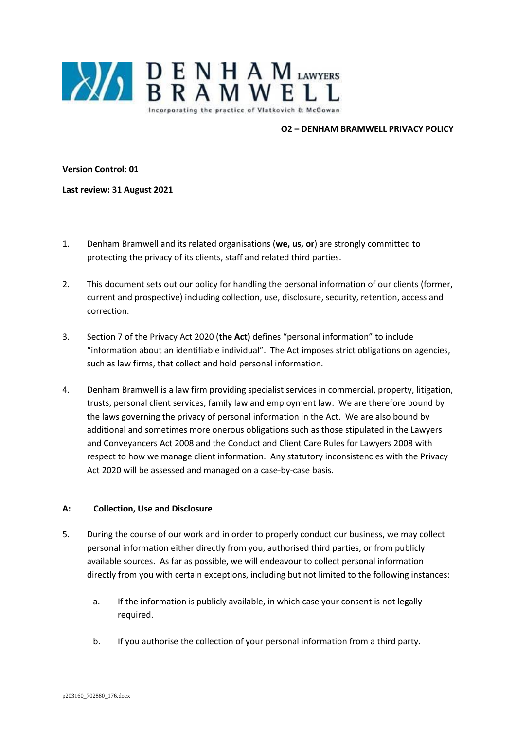

### **O2 – DENHAM BRAMWELL PRIVACY POLICY**

**Version Control: 01**

**Last review: 31 August 2021**

- 1. Denham Bramwell and its related organisations (**we, us, or**) are strongly committed to protecting the privacy of its clients, staff and related third parties.
- 2. This document sets out our policy for handling the personal information of our clients (former, current and prospective) including collection, use, disclosure, security, retention, access and correction.
- 3. Section 7 of the Privacy Act 2020 (**the Act)** defines "personal information" to include "information about an identifiable individual". The Act imposes strict obligations on agencies, such as law firms, that collect and hold personal information.
- 4. Denham Bramwell is a law firm providing specialist services in commercial, property, litigation, trusts, personal client services, family law and employment law. We are therefore bound by the laws governing the privacy of personal information in the Act. We are also bound by additional and sometimes more onerous obligations such as those stipulated in the Lawyers and Conveyancers Act 2008 and the Conduct and Client Care Rules for Lawyers 2008 with respect to how we manage client information. Any statutory inconsistencies with the Privacy Act 2020 will be assessed and managed on a case-by-case basis.

## **A: Collection, Use and Disclosure**

- 5. During the course of our work and in order to properly conduct our business, we may collect personal information either directly from you, authorised third parties, or from publicly available sources. As far as possible, we will endeavour to collect personal information directly from you with certain exceptions, including but not limited to the following instances:
	- a. If the information is publicly available, in which case your consent is not legally required.
	- b. If you authorise the collection of your personal information from a third party.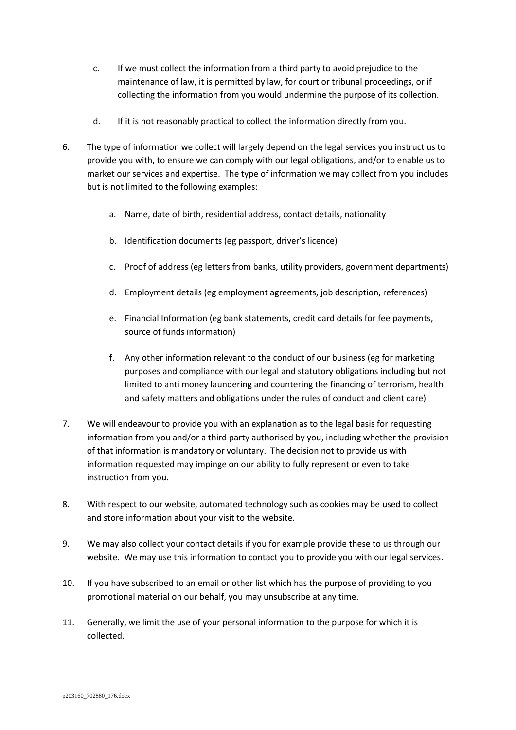- c. If we must collect the information from a third party to avoid prejudice to the maintenance of law, it is permitted by law, for court or tribunal proceedings, or if collecting the information from you would undermine the purpose of its collection.
- d. If it is not reasonably practical to collect the information directly from you.
- 6. The type of information we collect will largely depend on the legal services you instruct us to provide you with, to ensure we can comply with our legal obligations, and/or to enable us to market our services and expertise. The type of information we may collect from you includes but is not limited to the following examples:
	- a. Name, date of birth, residential address, contact details, nationality
	- b. Identification documents (eg passport, driver's licence)
	- c. Proof of address (eg letters from banks, utility providers, government departments)
	- d. Employment details (eg employment agreements, job description, references)
	- e. Financial Information (eg bank statements, credit card details for fee payments, source of funds information)
	- f. Any other information relevant to the conduct of our business (eg for marketing purposes and compliance with our legal and statutory obligations including but not limited to anti money laundering and countering the financing of terrorism, health and safety matters and obligations under the rules of conduct and client care)
- 7. We will endeavour to provide you with an explanation as to the legal basis for requesting information from you and/or a third party authorised by you, including whether the provision of that information is mandatory or voluntary. The decision not to provide us with information requested may impinge on our ability to fully represent or even to take instruction from you.
- 8. With respect to our website, automated technology such as cookies may be used to collect and store information about your visit to the website.
- 9. We may also collect your contact details if you for example provide these to us through our website. We may use this information to contact you to provide you with our legal services.
- 10. If you have subscribed to an email or other list which has the purpose of providing to you promotional material on our behalf, you may unsubscribe at any time.
- 11. Generally, we limit the use of your personal information to the purpose for which it is collected.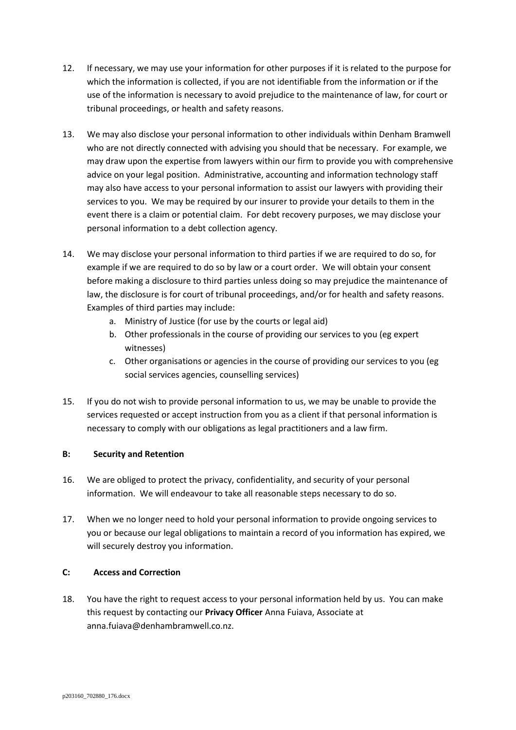- 12. If necessary, we may use your information for other purposes if it is related to the purpose for which the information is collected, if you are not identifiable from the information or if the use of the information is necessary to avoid prejudice to the maintenance of law, for court or tribunal proceedings, or health and safety reasons.
- 13. We may also disclose your personal information to other individuals within Denham Bramwell who are not directly connected with advising you should that be necessary. For example, we may draw upon the expertise from lawyers within our firm to provide you with comprehensive advice on your legal position. Administrative, accounting and information technology staff may also have access to your personal information to assist our lawyers with providing their services to you. We may be required by our insurer to provide your details to them in the event there is a claim or potential claim. For debt recovery purposes, we may disclose your personal information to a debt collection agency.
- 14. We may disclose your personal information to third parties if we are required to do so, for example if we are required to do so by law or a court order. We will obtain your consent before making a disclosure to third parties unless doing so may prejudice the maintenance of law, the disclosure is for court of tribunal proceedings, and/or for health and safety reasons. Examples of third parties may include:
	- a. Ministry of Justice (for use by the courts or legal aid)
	- b. Other professionals in the course of providing our services to you (eg expert witnesses)
	- c. Other organisations or agencies in the course of providing our services to you (eg social services agencies, counselling services)
- 15. If you do not wish to provide personal information to us, we may be unable to provide the services requested or accept instruction from you as a client if that personal information is necessary to comply with our obligations as legal practitioners and a law firm.

# **B: Security and Retention**

- 16. We are obliged to protect the privacy, confidentiality, and security of your personal information. We will endeavour to take all reasonable steps necessary to do so.
- 17. When we no longer need to hold your personal information to provide ongoing services to you or because our legal obligations to maintain a record of you information has expired, we will securely destroy you information.

# **C: Access and Correction**

18. You have the right to request access to your personal information held by us. You can make this request by contacting our **Privacy Officer** Anna Fuiava, Associate at anna.fuiava@denhambramwell.co.nz.